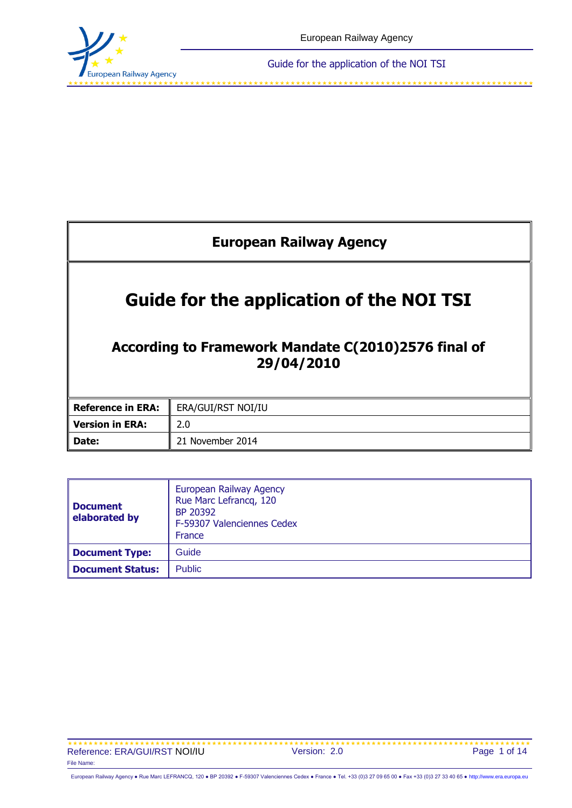

<span id="page-0-0"></span>

| <b>European Railway Agency</b>                                                                                       |                    |  |  |  |
|----------------------------------------------------------------------------------------------------------------------|--------------------|--|--|--|
| <b>Guide for the application of the NOI TSI</b><br>According to Framework Mandate C(2010)2576 final of<br>29/04/2010 |                    |  |  |  |
| <b>Reference in ERA:</b>                                                                                             | ERA/GUI/RST NOI/IU |  |  |  |
| <b>Version in ERA:</b>                                                                                               | 2.0                |  |  |  |
| Date:                                                                                                                | 21 November 2014   |  |  |  |

| <b>Document</b><br>elaborated by | European Railway Agency<br>Rue Marc Lefrancq, 120<br>BP 20392<br>F-59307 Valenciennes Cedex<br>France |  |  |
|----------------------------------|-------------------------------------------------------------------------------------------------------|--|--|
| Document Type:                   | Guide                                                                                                 |  |  |
| Document Status:                 | <b>Public</b>                                                                                         |  |  |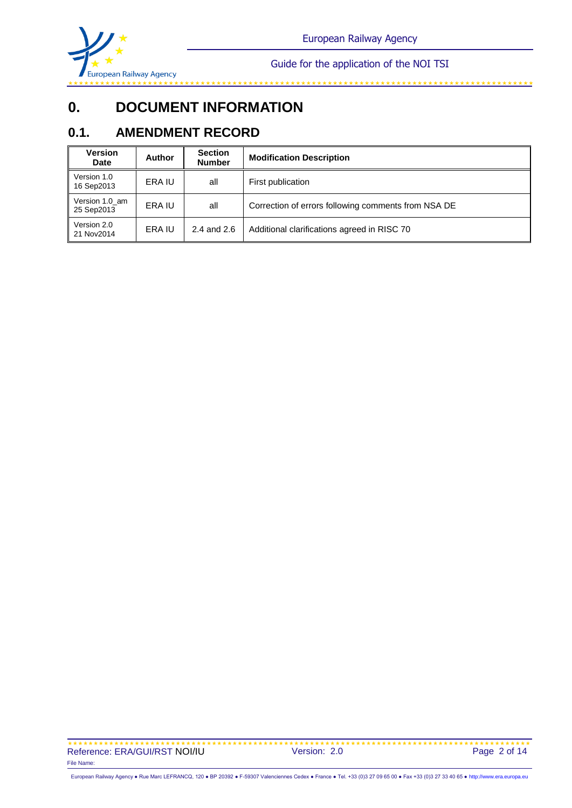

# **0. DOCUMENT INFORMATION**

## **0.1. AMENDMENT RECORD**

| <b>Version</b><br><b>Date</b> | <b>Author</b> | <b>Section</b><br><b>Number</b> | <b>Modification Description</b>                     |  |
|-------------------------------|---------------|---------------------------------|-----------------------------------------------------|--|
| Version 1.0<br>16 Sep2013     | ERA IU        | all                             | First publication                                   |  |
| Version 1.0_am<br>25 Sep2013  | ERA IU        | all                             | Correction of errors following comments from NSA DE |  |
| Version 2.0<br>21 Nov2014     | ERA IU        | 2.4 and 2.6                     | Additional clarifications agreed in RISC 70         |  |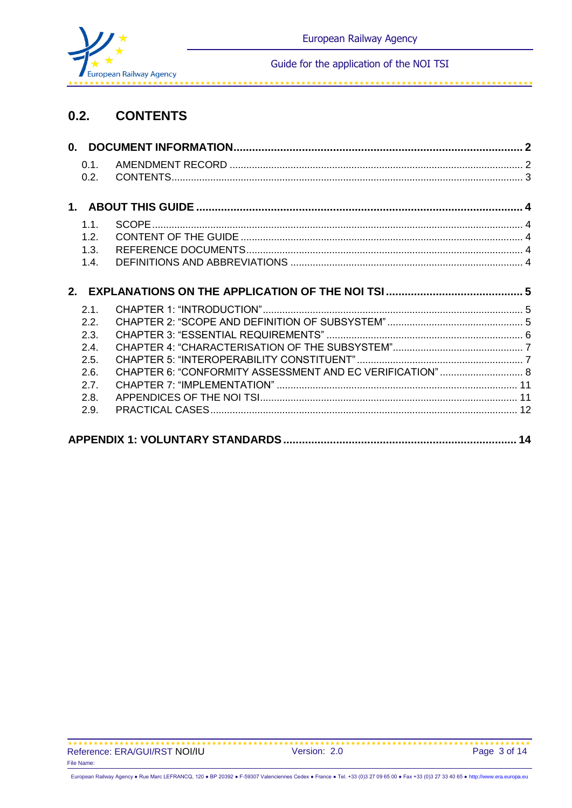

## **0.2. CONTENTS**

| 0.1. |              |                                                          |
|------|--------------|----------------------------------------------------------|
| 0.2. |              |                                                          |
|      |              |                                                          |
|      |              |                                                          |
| 12   |              |                                                          |
| 1.3. |              |                                                          |
| 1.4. |              |                                                          |
|      |              |                                                          |
|      |              |                                                          |
| 2.2. |              |                                                          |
| 2.3. |              |                                                          |
| 2.4. |              |                                                          |
| 2.5. |              |                                                          |
| 2.6. |              |                                                          |
| 2.7. |              |                                                          |
| 2.8. |              |                                                          |
| 2.9. |              |                                                          |
|      |              |                                                          |
|      | 1.1.<br>2.1. | CHAPTER 6: "CONFORMITY ASSESSMENT AND EC VERIFICATION" 8 |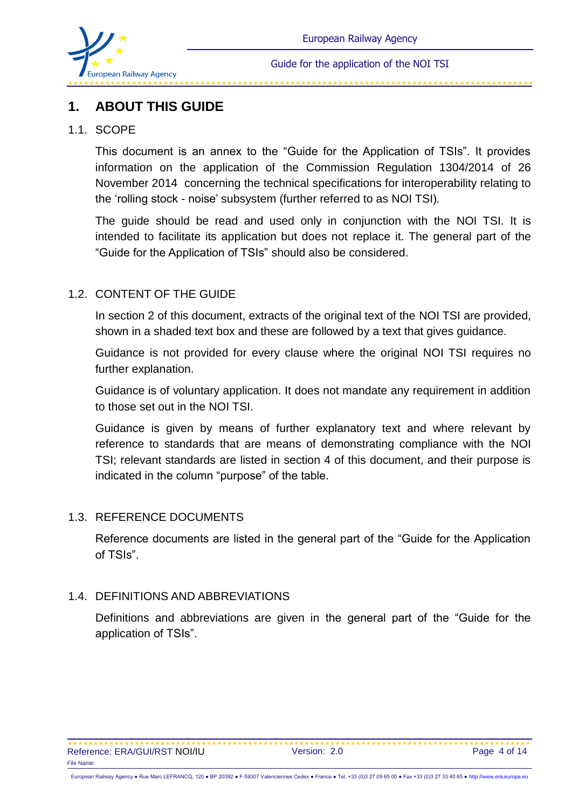

## **1. ABOUT THIS GUIDE**

#### 1.1. SCOPE

This document is an annex to the "Guide for the Application of TSIs". It provides information on the application of the Commission Regulation 1304/2014 of 26 November 2014 concerning the technical specifications for interoperability relating to the 'rolling stock - noise' subsystem (further referred to as NOI TSI)*.* 

The guide should be read and used only in conjunction with the NOI TSI. It is intended to facilitate its application but does not replace it. The general part of the "Guide for the Application of TSIs" should also be considered.

## 1.2. CONTENT OF THE GUIDE

In section 2 of this document, extracts of the original text of the NOI TSI are provided, shown in a shaded text box and these are followed by a text that gives guidance.

Guidance is not provided for every clause where the original NOI TSI requires no further explanation.

Guidance is of voluntary application. It does not mandate any requirement in addition to those set out in the NOI TSI.

Guidance is given by means of further explanatory text and where relevant by reference to standards that are means of demonstrating compliance with the NOI TSI; relevant standards are listed in section 4 of this document, and their purpose is indicated in the column "purpose" of the table.

#### 1.3. REFERENCE DOCUMENTS

Reference documents are listed in the general part of the "Guide for the Application of TSIs".

#### 1.4. DEFINITIONS AND ABBREVIATIONS

Definitions and abbreviations are given in the general part of the "Guide for the application of TSIs".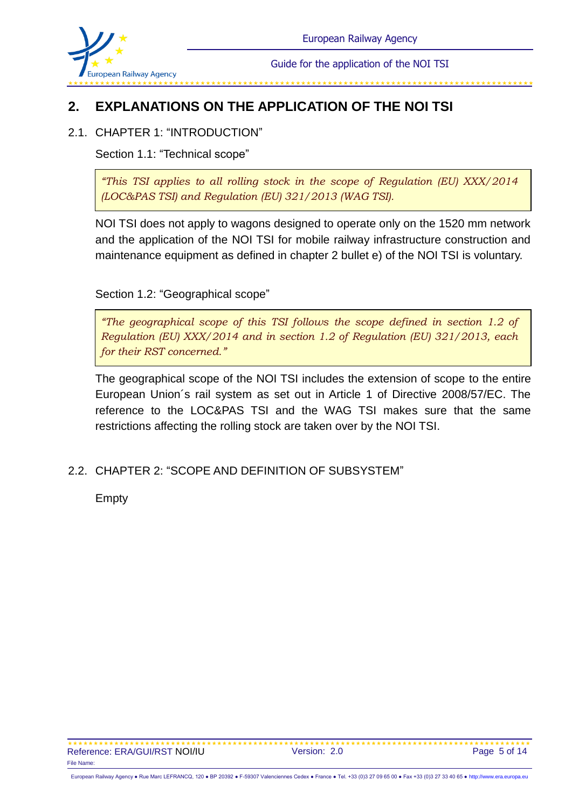

## **2. EXPLANATIONS ON THE APPLICATION OF THE NOI TSI**

## 2.1. CHAPTER 1: "INTRODUCTION"

Section 1.1: "Technical scope"

*"This TSI applies to all rolling stock in the scope of Regulation (EU) XXX/2014 (LOC&PAS TSI) and Regulation (EU) 321/2013 (WAG TSI).*

NOI TSI does not apply to wagons designed to operate only on the 1520 mm network and the application of the NOI TSI for mobile railway infrastructure construction and maintenance equipment as defined in chapter 2 bullet e) of the NOI TSI is voluntary.

#### Section 1.2: "Geographical scope"

*"The geographical scope of this TSI follows the scope defined in section 1.2 of Regulation (EU) XXX/2014 and in section 1.2 of Regulation (EU) 321/2013, each for their RST concerned."*

The geographical scope of the NOI TSI includes the extension of scope to the entire European Union´s rail system as set out in Article 1 of Directive 2008/57/EC. The reference to the LOC&PAS TSI and the WAG TSI makes sure that the same restrictions affecting the rolling stock are taken over by the NOI TSI.

## 2.2. CHAPTER 2: "SCOPE AND DEFINITION OF SUBSYSTEM"

Empty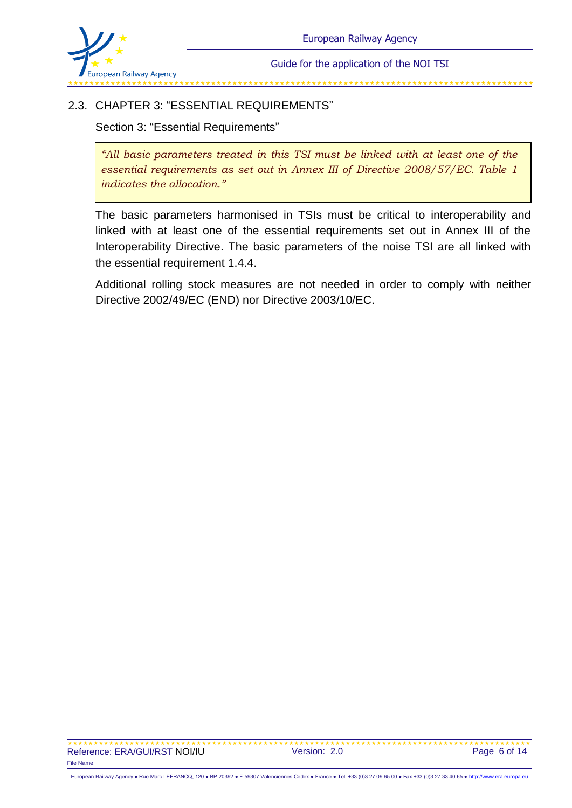

## 2.3. CHAPTER 3: "ESSENTIAL REQUIREMENTS"

Section 3: "Essential Requirements"

*"All basic parameters treated in this TSI must be linked with at least one of the essential requirements as set out in Annex III of Directive 2008/57/EC. Table 1 indicates the allocation."*

The basic parameters harmonised in TSIs must be critical to interoperability and linked with at least one of the essential requirements set out in Annex III of the Interoperability Directive. The basic parameters of the noise TSI are all linked with the essential requirement 1.4.4.

Additional rolling stock measures are not needed in order to comply with neither Directive 2002/49/EC (END) nor Directive 2003/10/EC.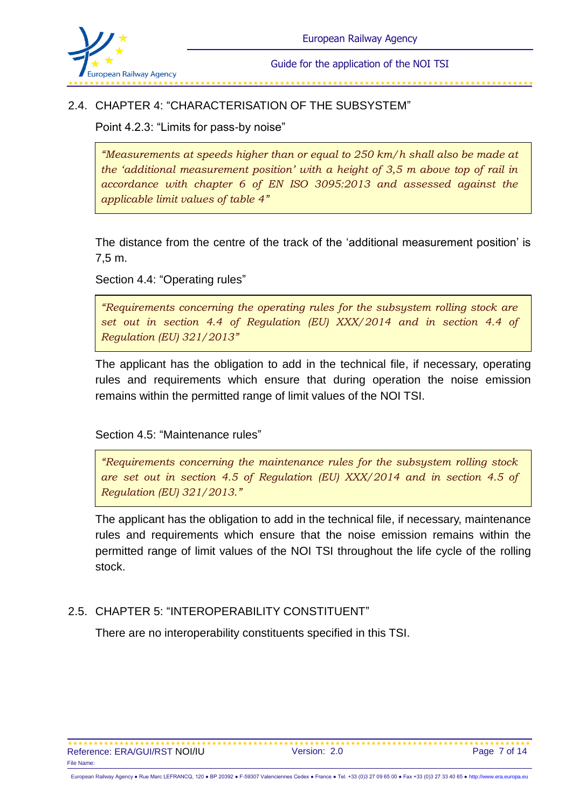

### 2.4. CHAPTER 4: "CHARACTERISATION OF THE SUBSYSTEM"

Point 4.2.3: "Limits for pass-by noise"

*"Measurements at speeds higher than or equal to 250 km/h shall also be made at the 'additional measurement position' with a height of 3,5 m above top of rail in accordance with chapter 6 of EN ISO 3095:2013 and assessed against the applicable limit values of table 4"*

The distance from the centre of the track of the 'additional measurement position' is 7,5 m.

Section 4.4: "Operating rules"

*"Requirements concerning the operating rules for the subsystem rolling stock are set out in section 4.4 of Regulation (EU) XXX/2014 and in section 4.4 of Regulation (EU) 321/2013"*

The applicant has the obligation to add in the technical file, if necessary, operating rules and requirements which ensure that during operation the noise emission remains within the permitted range of limit values of the NOI TSI.

Section 4.5: "Maintenance rules"

*"Requirements concerning the maintenance rules for the subsystem rolling stock are set out in section 4.5 of Regulation (EU) XXX/2014 and in section 4.5 of Regulation (EU) 321/2013."*

The applicant has the obligation to add in the technical file, if necessary, maintenance rules and requirements which ensure that the noise emission remains within the permitted range of limit values of the NOI TSI throughout the life cycle of the rolling stock.

#### 2.5. CHAPTER 5: "INTEROPERABILITY CONSTITUENT"

There are no interoperability constituents specified in this TSI.

European Railway Agency ● Rue Marc LEFRANCQ, 120 ● BP 20392 ● F-59307 Valenciennes Cedex ● France ● Tel. +33 (0)3 27 09 65 00 ● Fax +33 (0)3 27 33 40 65 ● [http://www.era.europa.eu](http://www.era.europa.eu/)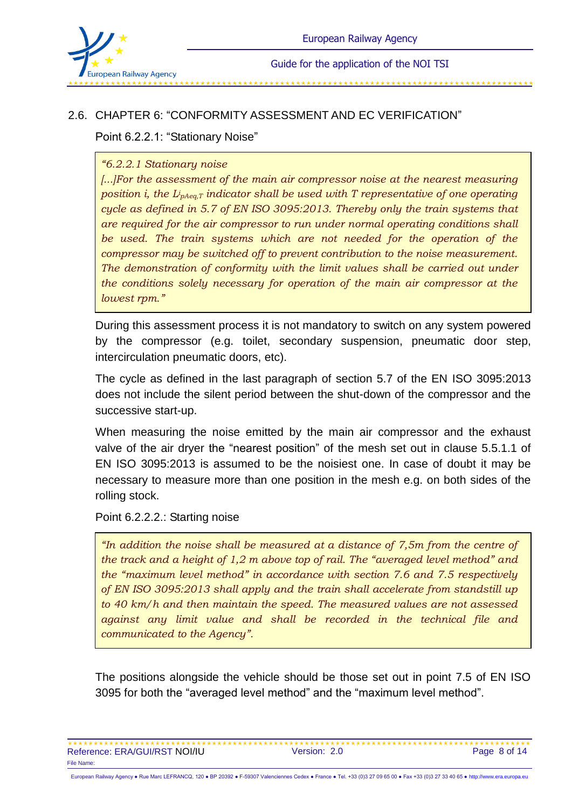

#### 2.6. CHAPTER 6: "CONFORMITY ASSESSMENT AND EC VERIFICATION"

Point 6.2.2.1: "Stationary Noise"

#### *"6.2.2.1 Stationary noise*

*[...]For the assessment of the main air compressor noise at the nearest measuring*  position *i, the L<sub>ipAeq,T</sub> indicator shall be used with T representative of one operating cycle as defined in 5.7 of EN ISO 3095:2013. Thereby only the train systems that are required for the air compressor to run under normal operating conditions shall be used. The train systems which are not needed for the operation of the compressor may be switched off to prevent contribution to the noise measurement. The demonstration of conformity with the limit values shall be carried out under the conditions solely necessary for operation of the main air compressor at the lowest rpm."*

During this assessment process it is not mandatory to switch on any system powered by the compressor (e.g. toilet, secondary suspension, pneumatic door step, intercirculation pneumatic doors, etc).

The cycle as defined in the last paragraph of section 5.7 of the EN ISO 3095:2013 does not include the silent period between the shut-down of the compressor and the successive start-up.

When measuring the noise emitted by the main air compressor and the exhaust valve of the air dryer the "nearest position" of the mesh set out in clause 5.5.1.1 of EN ISO 3095:2013 is assumed to be the noisiest one. In case of doubt it may be necessary to measure more than one position in the mesh e.g. on both sides of the rolling stock.

Point 6.2.2.2.: Starting noise

*"In addition the noise shall be measured at a distance of 7,5m from the centre of the track and a height of 1,2 m above top of rail. The "averaged level method" and the "maximum level method" in accordance with section 7.6 and 7.5 respectively of EN ISO 3095:2013 shall apply and the train shall accelerate from standstill up to 40 km/h and then maintain the speed. The measured values are not assessed against any limit value and shall be recorded in the technical file and communicated to the Agency".*

The positions alongside the vehicle should be those set out in point 7.5 of EN ISO 3095 for both the "averaged level method" and the "maximum level method".

| Reference: ERA/GUI/RST NOI/IU | Version: 2.0 | Page 8 of 14 |
|-------------------------------|--------------|--------------|
| File Name:                    |              |              |

European Railway Agency ● Rue Marc LEFRANCQ, 120 ● BP 20392 ● F-59307 Valenciennes Cedex ● France ● Tel. +33 (0)3 27 09 65 00 ● Fax +33 (0)3 27 33 40 65 ● [http://www.era.europa.eu](http://www.era.europa.eu/)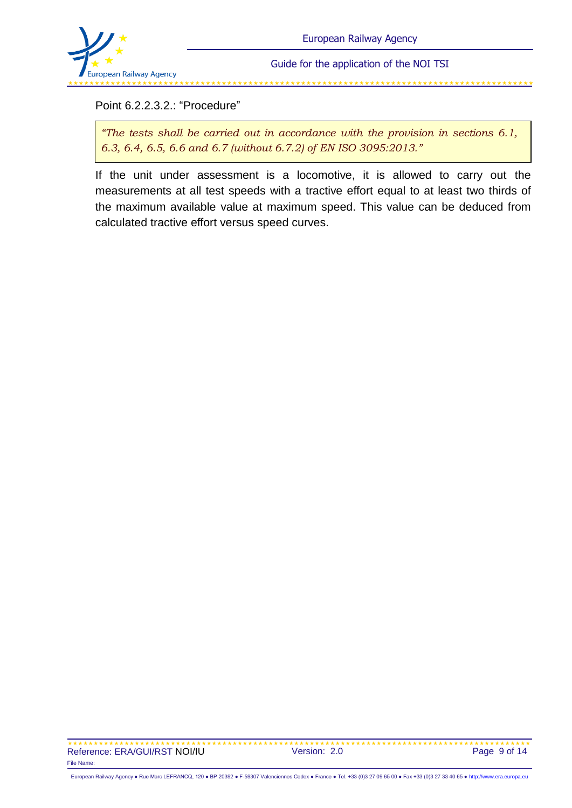

Point 6.2.2.3.2.: "Procedure"

*"The tests shall be carried out in accordance with the provision in sections 6.1, 6.3, 6.4, 6.5, 6.6 and 6.7 (without 6.7.2) of EN ISO 3095:2013."*

If the unit under assessment is a locomotive, it is allowed to carry out the measurements at all test speeds with a tractive effort equal to at least two thirds of the maximum available value at maximum speed. This value can be deduced from calculated tractive effort versus speed curves.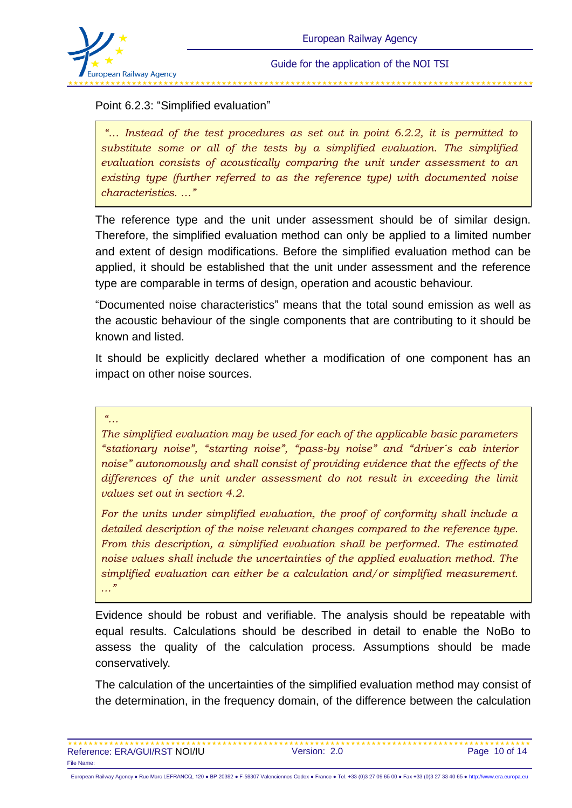

### Point 6.2.3: "Simplified evaluation"

*"… Instead of the test procedures as set out in point 6.2.2, it is permitted to substitute some or all of the tests by a simplified evaluation. The simplified evaluation consists of acoustically comparing the unit under assessment to an existing type (further referred to as the reference type) with documented noise characteristics. …"*

The reference type and the unit under assessment should be of similar design. Therefore, the simplified evaluation method can only be applied to a limited number and extent of design modifications. Before the simplified evaluation method can be applied, it should be established that the unit under assessment and the reference type are comparable in terms of design, operation and acoustic behaviour.

"Documented noise characteristics" means that the total sound emission as well as the acoustic behaviour of the single components that are contributing to it should be known and listed.

It should be explicitly declared whether a modification of one component has an impact on other noise sources.

#### *"…*

*The simplified evaluation may be used for each of the applicable basic parameters "stationary noise", "starting noise", "pass-by noise" and "driver´s cab interior noise" autonomously and shall consist of providing evidence that the effects of the*  differences of the unit under assessment do not result in exceeding the limit *values set out in section 4.2.*

*For the units under simplified evaluation, the proof of conformity shall include a detailed description of the noise relevant changes compared to the reference type. From this description, a simplified evaluation shall be performed. The estimated noise values shall include the uncertainties of the applied evaluation method. The simplified evaluation can either be a calculation and/or simplified measurement. …"*

Evidence should be robust and verifiable. The analysis should be repeatable with equal results. Calculations should be described in detail to enable the NoBo to assess the quality of the calculation process. Assumptions should be made conservatively.

The calculation of the uncertainties of the simplified evaluation method may consist of the determination, in the frequency domain, of the difference between the calculation

| Reference: ERA/GUI/RST NOI/IU | Version: 2.0 | Page 10 of 14 |
|-------------------------------|--------------|---------------|
| File Name:                    |              |               |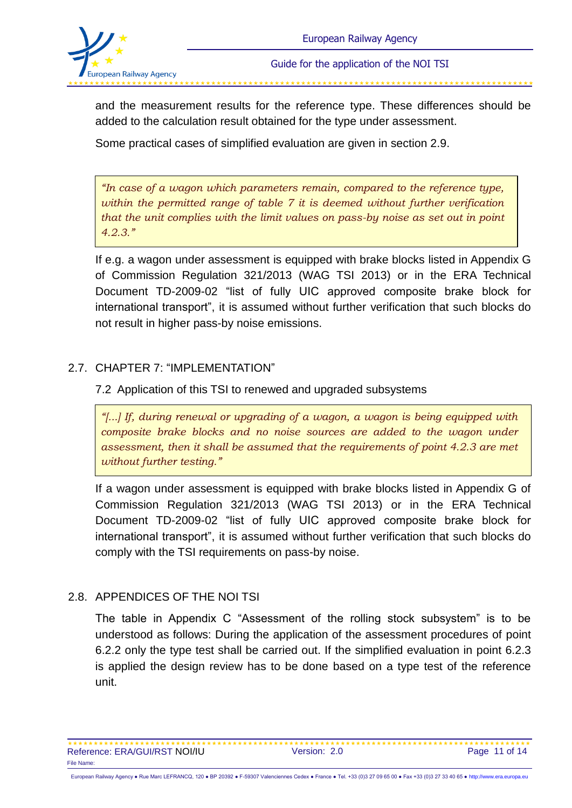

and the measurement results for the reference type. These differences should be added to the calculation result obtained for the type under assessment.

Some practical cases of simplified evaluation are given in section 2.9.

*"In case of a wagon which parameters remain, compared to the reference type, within the permitted range of table 7 it is deemed without further verification that the unit complies with the limit values on pass-by noise as set out in point 4.2.3."*

If e.g. a wagon under assessment is equipped with brake blocks listed in Appendix G of Commission Regulation 321/2013 (WAG TSI 2013) or in the ERA Technical Document TD-2009-02 "list of fully UIC approved composite brake block for international transport", it is assumed without further verification that such blocks do not result in higher pass-by noise emissions.

## 2.7. CHAPTER 7: "IMPLEMENTATION"

7.2 Application of this TSI to renewed and upgraded subsystems

*"[...] If, during renewal or upgrading of a wagon, a wagon is being equipped with composite brake blocks and no noise sources are added to the wagon under assessment, then it shall be assumed that the requirements of point 4.2.3 are met without further testing."*

If a wagon under assessment is equipped with brake blocks listed in Appendix G of Commission Regulation 321/2013 (WAG TSI 2013) or in the ERA Technical Document TD-2009-02 "list of fully UIC approved composite brake block for international transport", it is assumed without further verification that such blocks do comply with the TSI requirements on pass-by noise.

## 2.8. APPENDICES OF THE NOI TSI

The table in Appendix C "Assessment of the rolling stock subsystem" is to be understood as follows: During the application of the assessment procedures of point 6.2.2 only the type test shall be carried out. If the simplified evaluation in point 6.2.3 is applied the design review has to be done based on a type test of the reference unit.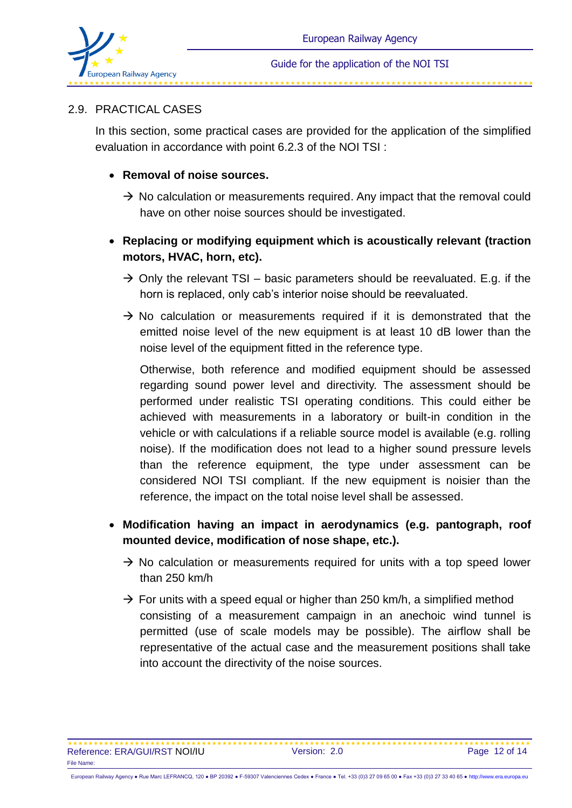

#### 2.9. PRACTICAL CASES

In this section, some practical cases are provided for the application of the simplified evaluation in accordance with point 6.2.3 of the NOI TSI :

#### **Removal of noise sources.**

- $\rightarrow$  No calculation or measurements required. Any impact that the removal could have on other noise sources should be investigated.
- **Replacing or modifying equipment which is acoustically relevant (traction motors, HVAC, horn, etc).**
	- $\rightarrow$  Only the relevant TSI basic parameters should be reevaluated. E.g. if the horn is replaced, only cab's interior noise should be reevaluated.
	- $\rightarrow$  No calculation or measurements required if it is demonstrated that the emitted noise level of the new equipment is at least 10 dB lower than the noise level of the equipment fitted in the reference type.

Otherwise, both reference and modified equipment should be assessed regarding sound power level and directivity. The assessment should be performed under realistic TSI operating conditions. This could either be achieved with measurements in a laboratory or built-in condition in the vehicle or with calculations if a reliable source model is available (e.g. rolling noise). If the modification does not lead to a higher sound pressure levels than the reference equipment, the type under assessment can be considered NOI TSI compliant. If the new equipment is noisier than the reference, the impact on the total noise level shall be assessed.

- **Modification having an impact in aerodynamics (e.g. pantograph, roof mounted device, modification of nose shape, etc.).**
	- $\rightarrow$  No calculation or measurements required for units with a top speed lower than 250 km/h
	- $\rightarrow$  For units with a speed equal or higher than 250 km/h, a simplified method consisting of a measurement campaign in an anechoic wind tunnel is permitted (use of scale models may be possible). The airflow shall be representative of the actual case and the measurement positions shall take into account the directivity of the noise sources.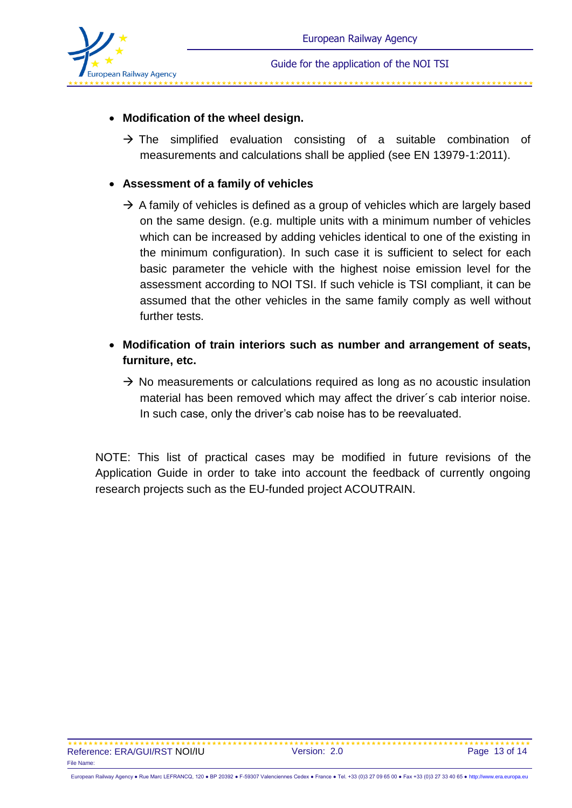

## **Modification of the wheel design.**

 $\rightarrow$  The simplified evaluation consisting of a suitable combination of measurements and calculations shall be applied (see EN 13979-1:2011).

#### **Assessment of a family of vehicles**

- $\rightarrow$  A family of vehicles is defined as a group of vehicles which are largely based on the same design. (e.g. multiple units with a minimum number of vehicles which can be increased by adding vehicles identical to one of the existing in the minimum configuration). In such case it is sufficient to select for each basic parameter the vehicle with the highest noise emission level for the assessment according to NOI TSI. If such vehicle is TSI compliant, it can be assumed that the other vehicles in the same family comply as well without further tests.
- **Modification of train interiors such as number and arrangement of seats, furniture, etc.** 
	- $\rightarrow$  No measurements or calculations required as long as no acoustic insulation material has been removed which may affect the driver´s cab interior noise. In such case, only the driver's cab noise has to be reevaluated.

NOTE: This list of practical cases may be modified in future revisions of the Application Guide in order to take into account the feedback of currently ongoing research projects such as the EU-funded project ACOUTRAIN.